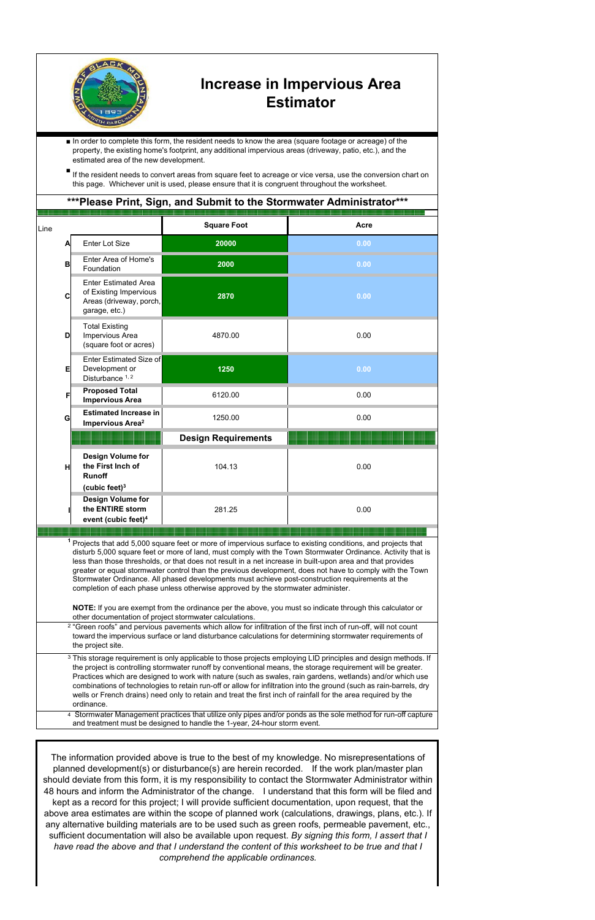

## **Increase in Impervious Area Estimator**

■ In order to complete this form, the resident needs to know the area (square footage or acreage) of the property, the existing home's footprint, any additional impervious areas (driveway, patio, etc.), and the estimated area of the new development.

■ If the resident needs to convert areas from square feet to acreage or vice versa, use the conversion chart on this page. Whichever unit is used, please ensure that it is congruent throughout the worksheet.

|      |   |                                                                                                     | ***Please Print, Sign, and Submit to the Stormwater Administrator***                                                                                                                 |                                                                                                                                                                                                                                                                                                                                                                                                                                                                                                                                                                   |
|------|---|-----------------------------------------------------------------------------------------------------|--------------------------------------------------------------------------------------------------------------------------------------------------------------------------------------|-------------------------------------------------------------------------------------------------------------------------------------------------------------------------------------------------------------------------------------------------------------------------------------------------------------------------------------------------------------------------------------------------------------------------------------------------------------------------------------------------------------------------------------------------------------------|
| Line |   |                                                                                                     | <b>Square Foot</b>                                                                                                                                                                   | Acre                                                                                                                                                                                                                                                                                                                                                                                                                                                                                                                                                              |
|      | Α | <b>Enter Lot Size</b>                                                                               | 20000                                                                                                                                                                                | 0.00                                                                                                                                                                                                                                                                                                                                                                                                                                                                                                                                                              |
|      | B | Enter Area of Home's<br>Foundation                                                                  | 2000                                                                                                                                                                                 | 0.00                                                                                                                                                                                                                                                                                                                                                                                                                                                                                                                                                              |
|      | C | <b>Enter Estimated Area</b><br>of Existing Impervious<br>Areas (driveway, porch,<br>garage, etc.)   | 2870                                                                                                                                                                                 | 0.00                                                                                                                                                                                                                                                                                                                                                                                                                                                                                                                                                              |
|      | D | <b>Total Existing</b><br>Impervious Area<br>(square foot or acres)                                  | 4870.00                                                                                                                                                                              | 0.00                                                                                                                                                                                                                                                                                                                                                                                                                                                                                                                                                              |
|      | Е | <b>Enter Estimated Size of</b><br>Development or<br>Disturbance 1, 2                                | 1250                                                                                                                                                                                 | 0.00                                                                                                                                                                                                                                                                                                                                                                                                                                                                                                                                                              |
|      | F | <b>Proposed Total</b><br><b>Impervious Area</b>                                                     | 6120.00                                                                                                                                                                              | 0.00                                                                                                                                                                                                                                                                                                                                                                                                                                                                                                                                                              |
|      | G | <b>Estimated Increase in</b><br>Impervious Area <sup>2</sup>                                        | 1250.00                                                                                                                                                                              | 0.00                                                                                                                                                                                                                                                                                                                                                                                                                                                                                                                                                              |
|      |   |                                                                                                     | <b>Design Requirements</b>                                                                                                                                                           |                                                                                                                                                                                                                                                                                                                                                                                                                                                                                                                                                                   |
|      | H | Design Volume for<br>the First Inch of<br><b>Runoff</b>                                             | 104.13                                                                                                                                                                               | 0.00                                                                                                                                                                                                                                                                                                                                                                                                                                                                                                                                                              |
|      |   | (cubic feet) $3$<br><b>Design Volume for</b><br>the ENTIRE storm<br>event (cubic feet) <sup>4</sup> | 281.25                                                                                                                                                                               | 0.00                                                                                                                                                                                                                                                                                                                                                                                                                                                                                                                                                              |
|      |   |                                                                                                     |                                                                                                                                                                                      |                                                                                                                                                                                                                                                                                                                                                                                                                                                                                                                                                                   |
|      |   |                                                                                                     | Stormwater Ordinance. All phased developments must achieve post-construction requirements at the<br>completion of each phase unless otherwise approved by the stormwater administer. | Projects that add 5,000 square feet or more of impervious surface to existing conditions, and projects that<br>disturb 5,000 square feet or more of land, must comply with the Town Stormwater Ordinance. Activity that is<br>less than those thresholds, or that does not result in a net increase in built-upon area and that provides<br>greater or equal stormwater control than the previous development, does not have to comply with the Town<br>NOTE: If you are exempt from the ordinance per the above, you must so indicate through this calculator or |
|      |   | other documentation of project stormwater calculations.                                             |                                                                                                                                                                                      | <sup>2</sup> "Green roofs" and pervious pavements which allow for infiltration of the first inch of run-off, will not count<br>toward the impervious surface or land disturbance calculations for determining stormwater requirements of                                                                                                                                                                                                                                                                                                                          |
|      |   | the project site.                                                                                   |                                                                                                                                                                                      | <sup>3</sup> This storage requirement is only applicable to those projects employing LID principles and design methods. If                                                                                                                                                                                                                                                                                                                                                                                                                                        |

Practices which are designed to work with nature (such as swales, rain gardens, wetlands) and/or which use combinations of technologies to retain run-off or allow for infiltration into the ground (such as rain-barrels, dry wells or French drains) need only to retain and treat the first inch of rainfall for the area required by the ordinance.

4 Stormwater Management practices that utilize only pipes and/or ponds as the sole method for run-off capture and treatment must be designed to handle the 1-year, 24-hour storm event.

The information provided above is true to the best of my knowledge. No misrepresentations of planned development(s) or disturbance(s) are herein recorded. If the work plan/master plan should deviate from this form, it is my responsibility to contact the Stormwater Administrator within 48 hours and inform the Administrator of the change. I understand that this form will be filed and kept as a record for this project; I will provide sufficient documentation, upon request, that the above area estimates are within the scope of planned work (calculations, drawings, plans, etc.). If any alternative building materials are to be used such as green roofs, permeable pavement, etc., sufficient documentation will also be available upon request. *By signing this form, I assert that I have read the above and that I understand the content of this worksheet to be true and that I comprehend the applicable ordinances.*